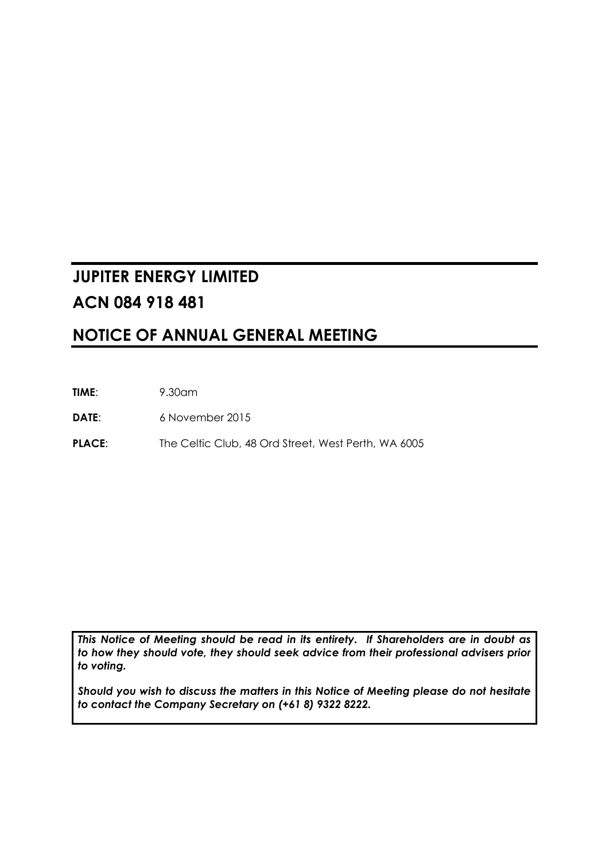# **JUPITER ENERGY LIMITED ACN 084 918 481**

## **NOTICE OF ANNUAL GENERAL MEETING**

**TIME**: 9.30am

**DATE**: 6 November 2015

PLACE: The Celtic Club, 48 Ord Street, West Perth, WA 6005

*This Notice of Meeting should be read in its entirety. If Shareholders are in doubt as to how they should vote, they should seek advice from their professional advisers prior to voting.* 

*Should you wish to discuss the matters in this Notice of Meeting please do not hesitate to contact the Company Secretary on (+61 8) 9322 8222.*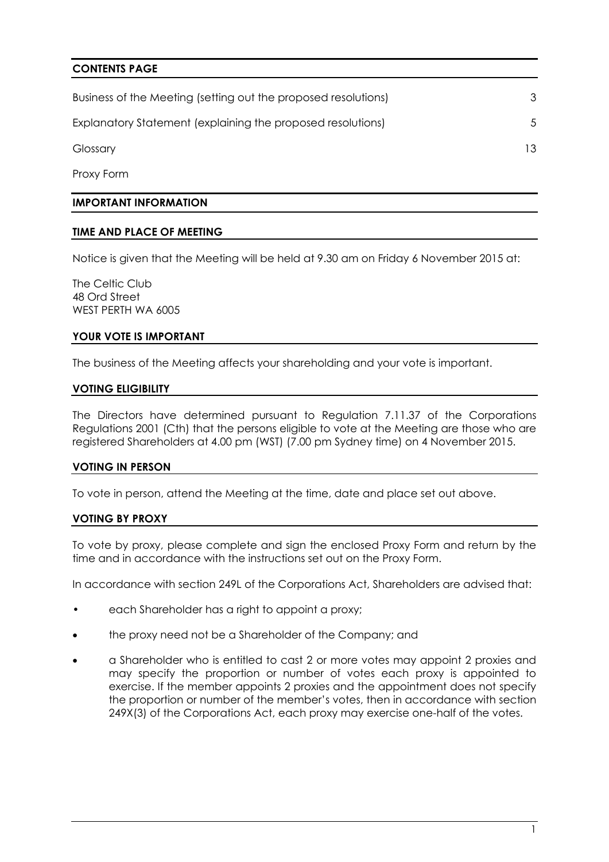## **CONTENTS PAGE**

| Business of the Meeting (setting out the proposed resolutions) |     |
|----------------------------------------------------------------|-----|
| Explanatory Statement (explaining the proposed resolutions)    |     |
| Glossary                                                       | 13. |

Proxy Form

#### **IMPORTANT INFORMATION**

#### **TIME AND PLACE OF MEETING**

Notice is given that the Meeting will be held at 9.30 am on Friday 6 November 2015 at:

The Celtic Club 48 Ord Street WEST PERTH WA 6005

#### **YOUR VOTE IS IMPORTANT**

The business of the Meeting affects your shareholding and your vote is important.

#### **VOTING ELIGIBILITY**

The Directors have determined pursuant to Regulation 7.11.37 of the Corporations Regulations 2001 (Cth) that the persons eligible to vote at the Meeting are those who are registered Shareholders at 4.00 pm (WST) (7.00 pm Sydney time) on 4 November 2015.

#### **VOTING IN PERSON**

To vote in person, attend the Meeting at the time, date and place set out above.

#### **VOTING BY PROXY**

To vote by proxy, please complete and sign the enclosed Proxy Form and return by the time and in accordance with the instructions set out on the Proxy Form.

In accordance with section 249L of the Corporations Act, Shareholders are advised that:

- each Shareholder has a right to appoint a proxy;
- the proxy need not be a Shareholder of the Company; and
- a Shareholder who is entitled to cast 2 or more votes may appoint 2 proxies and may specify the proportion or number of votes each proxy is appointed to exercise. If the member appoints 2 proxies and the appointment does not specify the proportion or number of the member's votes, then in accordance with section 249X(3) of the Corporations Act, each proxy may exercise one-half of the votes.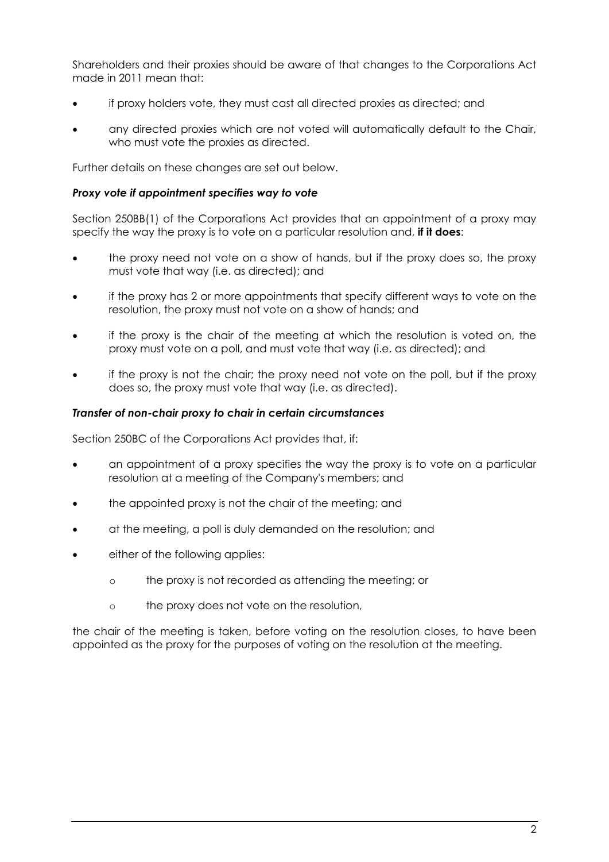Shareholders and their proxies should be aware of that changes to the Corporations Act made in 2011 mean that:

- if proxy holders vote, they must cast all directed proxies as directed; and
- any directed proxies which are not voted will automatically default to the Chair, who must vote the proxies as directed.

Further details on these changes are set out below.

#### *Proxy vote if appointment specifies way to vote*

Section 250BB(1) of the Corporations Act provides that an appointment of a proxy may specify the way the proxy is to vote on a particular resolution and, **if it does**:

- the proxy need not vote on a show of hands, but if the proxy does so, the proxy must vote that way (i.e. as directed); and
- if the proxy has 2 or more appointments that specify different ways to vote on the resolution, the proxy must not vote on a show of hands; and
- if the proxy is the chair of the meeting at which the resolution is voted on, the proxy must vote on a poll, and must vote that way (i.e. as directed); and
- if the proxy is not the chair; the proxy need not vote on the poll, but if the proxy does so, the proxy must vote that way (i.e. as directed).

#### *Transfer of non-chair proxy to chair in certain circumstances*

Section 250BC of the Corporations Act provides that, if:

- an appointment of a proxy specifies the way the proxy is to vote on a particular resolution at a meeting of the Company's members; and
- the appointed proxy is not the chair of the meeting; and
- at the meeting, a poll is duly demanded on the resolution; and
- either of the following applies:
	- o the proxy is not recorded as attending the meeting; or
	- o the proxy does not vote on the resolution,

the chair of the meeting is taken, before voting on the resolution closes, to have been appointed as the proxy for the purposes of voting on the resolution at the meeting.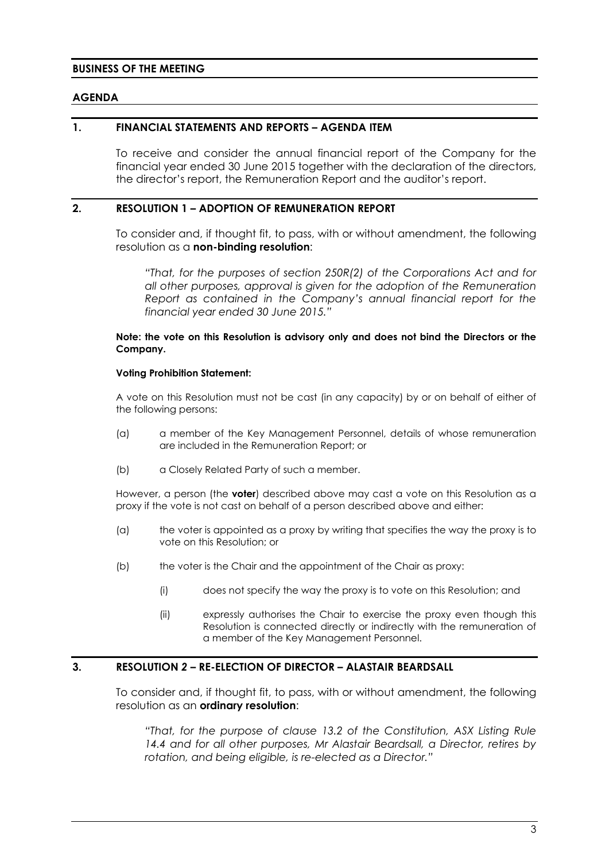#### **BUSINESS OF THE MEETING**

#### **AGENDA**

#### **1. FINANCIAL STATEMENTS AND REPORTS – AGENDA ITEM**

To receive and consider the annual financial report of the Company for the financial year ended 30 June 2015 together with the declaration of the directors, the director's report, the Remuneration Report and the auditor's report.

#### **2. RESOLUTION 1 – ADOPTION OF REMUNERATION REPORT**

To consider and, if thought fit, to pass, with or without amendment, the following resolution as a **non-binding resolution**:

*"That, for the purposes of section 250R(2) of the Corporations Act and for all other purposes, approval is given for the adoption of the Remuneration Report as contained in the Company's annual financial report for the financial year ended 30 June 2015."* 

#### **Note: the vote on this Resolution is advisory only and does not bind the Directors or the Company.**

#### **Voting Prohibition Statement:**

A vote on this Resolution must not be cast (in any capacity) by or on behalf of either of the following persons:

- (a) a member of the Key Management Personnel, details of whose remuneration are included in the Remuneration Report; or
- (b) a Closely Related Party of such a member.

However, a person (the **voter**) described above may cast a vote on this Resolution as a proxy if the vote is not cast on behalf of a person described above and either:

- (a) the voter is appointed as a proxy by writing that specifies the way the proxy is to vote on this Resolution; or
- (b) the voter is the Chair and the appointment of the Chair as proxy:
	- (i) does not specify the way the proxy is to vote on this Resolution; and
	- (ii) expressly authorises the Chair to exercise the proxy even though this Resolution is connected directly or indirectly with the remuneration of a member of the Key Management Personnel.

#### **3. RESOLUTION** *2* **– RE-ELECTION OF DIRECTOR – ALASTAIR BEARDSALL**

To consider and, if thought fit, to pass, with or without amendment, the following resolution as an **ordinary resolution**:

*"That, for the purpose of clause 13.2 of the Constitution, ASX Listing Rule 14.4 and for all other purposes, Mr Alastair Beardsall, a Director, retires by rotation, and being eligible, is re-elected as a Director."*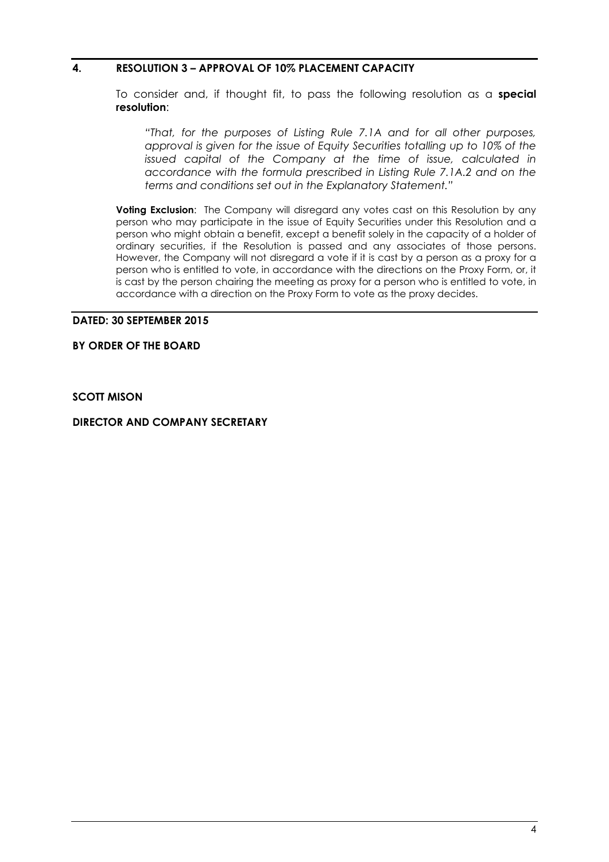## **4. RESOLUTION 3 – APPROVAL OF 10% PLACEMENT CAPACITY**

To consider and, if thought fit, to pass the following resolution as a **special resolution**:

*"That, for the purposes of Listing Rule 7.1A and for all other purposes, approval is given for the issue of Equity Securities totalling up to 10% of the issued capital of the Company at the time of issue, calculated in accordance with the formula prescribed in Listing Rule 7.1A.2 and on the terms and conditions set out in the Explanatory Statement."* 

**Voting Exclusion:** The Company will disregard any votes cast on this Resolution by any person who may participate in the issue of Equity Securities under this Resolution and a person who might obtain a benefit, except a benefit solely in the capacity of a holder of ordinary securities, if the Resolution is passed and any associates of those persons. However, the Company will not disregard a vote if it is cast by a person as a proxy for a person who is entitled to vote, in accordance with the directions on the Proxy Form, or, it is cast by the person chairing the meeting as proxy for a person who is entitled to vote, in accordance with a direction on the Proxy Form to vote as the proxy decides.

#### **DATED: 30 SEPTEMBER 2015**

## **BY ORDER OF THE BOARD**

**SCOTT MISON** 

**DIRECTOR AND COMPANY SECRETARY**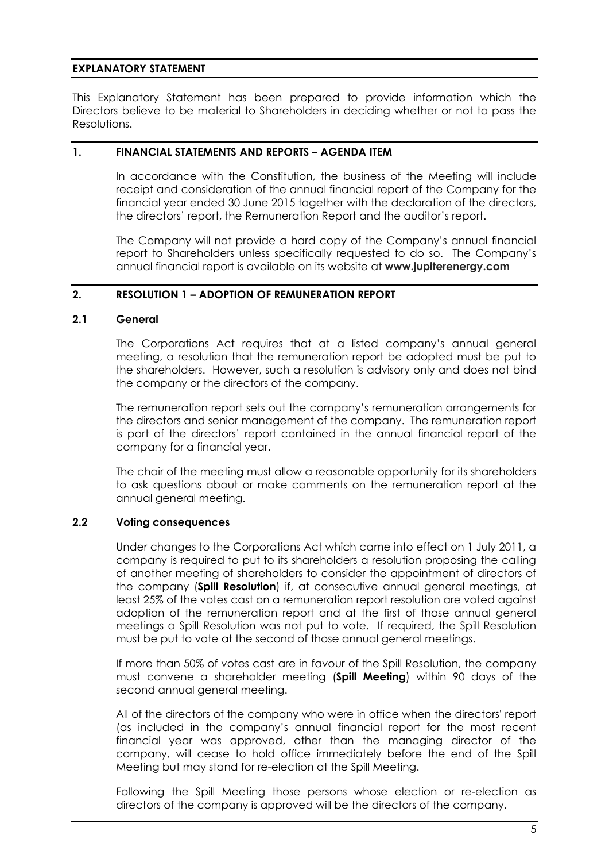## **EXPLANATORY STATEMENT**

This Explanatory Statement has been prepared to provide information which the Directors believe to be material to Shareholders in deciding whether or not to pass the Resolutions.

#### **1. FINANCIAL STATEMENTS AND REPORTS – AGENDA ITEM**

In accordance with the Constitution, the business of the Meeting will include receipt and consideration of the annual financial report of the Company for the financial year ended 30 June 2015 together with the declaration of the directors, the directors' report, the Remuneration Report and the auditor's report.

The Company will not provide a hard copy of the Company's annual financial report to Shareholders unless specifically requested to do so. The Company's annual financial report is available on its website at **www.jupiterenergy.com**

## **2. RESOLUTION 1 – ADOPTION OF REMUNERATION REPORT**

#### **2.1 General**

The Corporations Act requires that at a listed company's annual general meeting, a resolution that the remuneration report be adopted must be put to the shareholders. However, such a resolution is advisory only and does not bind the company or the directors of the company.

The remuneration report sets out the company's remuneration arrangements for the directors and senior management of the company. The remuneration report is part of the directors' report contained in the annual financial report of the company for a financial year.

The chair of the meeting must allow a reasonable opportunity for its shareholders to ask questions about or make comments on the remuneration report at the annual general meeting.

## **2.2 Voting consequences**

Under changes to the Corporations Act which came into effect on 1 July 2011, a company is required to put to its shareholders a resolution proposing the calling of another meeting of shareholders to consider the appointment of directors of the company (**Spill Resolution**) if, at consecutive annual general meetings, at least 25% of the votes cast on a remuneration report resolution are voted against adoption of the remuneration report and at the first of those annual general meetings a Spill Resolution was not put to vote. If required, the Spill Resolution must be put to vote at the second of those annual general meetings.

If more than 50% of votes cast are in favour of the Spill Resolution, the company must convene a shareholder meeting (**Spill Meeting**) within 90 days of the second annual general meeting.

All of the directors of the company who were in office when the directors' report (as included in the company's annual financial report for the most recent financial year was approved, other than the managing director of the company, will cease to hold office immediately before the end of the Spill Meeting but may stand for re-election at the Spill Meeting.

Following the Spill Meeting those persons whose election or re-election as directors of the company is approved will be the directors of the company.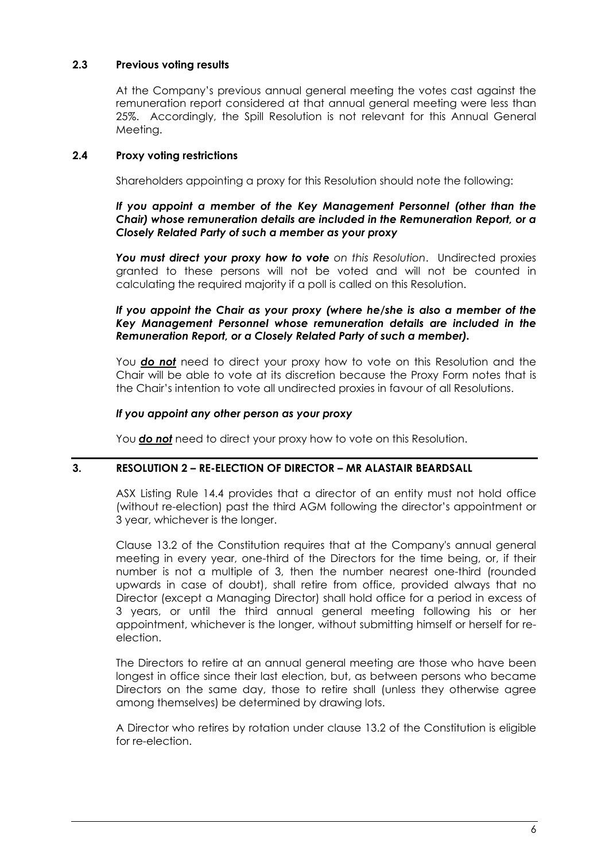## **2.3 Previous voting results**

At the Company's previous annual general meeting the votes cast against the remuneration report considered at that annual general meeting were less than 25%. Accordingly, the Spill Resolution is not relevant for this Annual General Meeting.

## **2.4 Proxy voting restrictions**

Shareholders appointing a proxy for this Resolution should note the following:

## *If you appoint a member of the Key Management Personnel (other than the Chair) whose remuneration details are included in the Remuneration Report, or a Closely Related Party of such a member as your proxy*

*You must direct your proxy how to vote on this Resolution*. Undirected proxies granted to these persons will not be voted and will not be counted in calculating the required majority if a poll is called on this Resolution.

## *If you appoint the Chair as your proxy (where he/she is also a member of the Key Management Personnel whose remuneration details are included in the Remuneration Report, or a Closely Related Party of such a member).*

You *do not* need to direct your proxy how to vote on this Resolution and the Chair will be able to vote at its discretion because the Proxy Form notes that is the Chair's intention to vote all undirected proxies in favour of all Resolutions.

## *If you appoint any other person as your proxy*

You *do not* need to direct your proxy how to vote on this Resolution.

## **3. RESOLUTION 2 – RE-ELECTION OF DIRECTOR – MR ALASTAIR BEARDSALL**

ASX Listing Rule 14.4 provides that a director of an entity must not hold office (without re-election) past the third AGM following the director's appointment or 3 year, whichever is the longer.

Clause 13.2 of the Constitution requires that at the Company's annual general meeting in every year, one-third of the Directors for the time being, or, if their number is not a multiple of 3, then the number nearest one-third (rounded upwards in case of doubt), shall retire from office, provided always that no Director (except a Managing Director) shall hold office for a period in excess of 3 years, or until the third annual general meeting following his or her appointment, whichever is the longer, without submitting himself or herself for reelection.

The Directors to retire at an annual general meeting are those who have been longest in office since their last election, but, as between persons who became Directors on the same day, those to retire shall (unless they otherwise agree among themselves) be determined by drawing lots.

A Director who retires by rotation under clause 13.2 of the Constitution is eligible for re-election.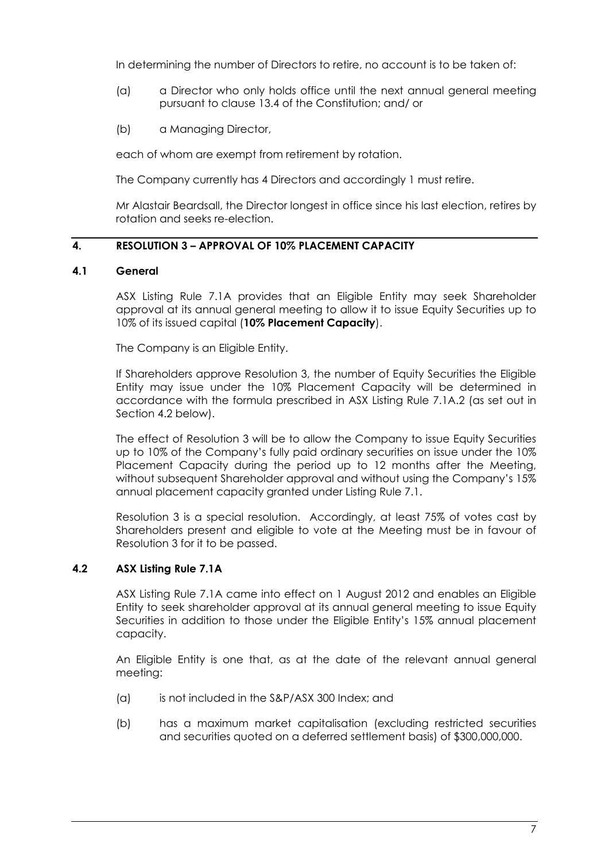In determining the number of Directors to retire, no account is to be taken of:

- (a) a Director who only holds office until the next annual general meeting pursuant to clause 13.4 of the Constitution; and/ or
- (b) a Managing Director,

each of whom are exempt from retirement by rotation.

The Company currently has 4 Directors and accordingly 1 must retire.

Mr Alastair Beardsall, the Director longest in office since his last election, retires by rotation and seeks re-election.

## **4. RESOLUTION 3 – APPROVAL OF 10% PLACEMENT CAPACITY**

## **4.1 General**

ASX Listing Rule 7.1A provides that an Eligible Entity may seek Shareholder approval at its annual general meeting to allow it to issue Equity Securities up to 10% of its issued capital (**10% Placement Capacity**).

The Company is an Eligible Entity.

If Shareholders approve Resolution 3, the number of Equity Securities the Eligible Entity may issue under the 10% Placement Capacity will be determined in accordance with the formula prescribed in ASX Listing Rule 7.1A.2 (as set out in Section 4.2 below).

The effect of Resolution 3 will be to allow the Company to issue Equity Securities up to 10% of the Company's fully paid ordinary securities on issue under the 10% Placement Capacity during the period up to 12 months after the Meeting, without subsequent Shareholder approval and without using the Company's 15% annual placement capacity granted under Listing Rule 7.1.

Resolution 3 is a special resolution. Accordingly, at least 75% of votes cast by Shareholders present and eligible to vote at the Meeting must be in favour of Resolution 3 for it to be passed.

## **4.2 ASX Listing Rule 7.1A**

ASX Listing Rule 7.1A came into effect on 1 August 2012 and enables an Eligible Entity to seek shareholder approval at its annual general meeting to issue Equity Securities in addition to those under the Eligible Entity's 15% annual placement capacity.

An Eligible Entity is one that, as at the date of the relevant annual general meeting:

- (a) is not included in the S&P/ASX 300 Index; and
- (b) has a maximum market capitalisation (excluding restricted securities and securities quoted on a deferred settlement basis) of \$300,000,000.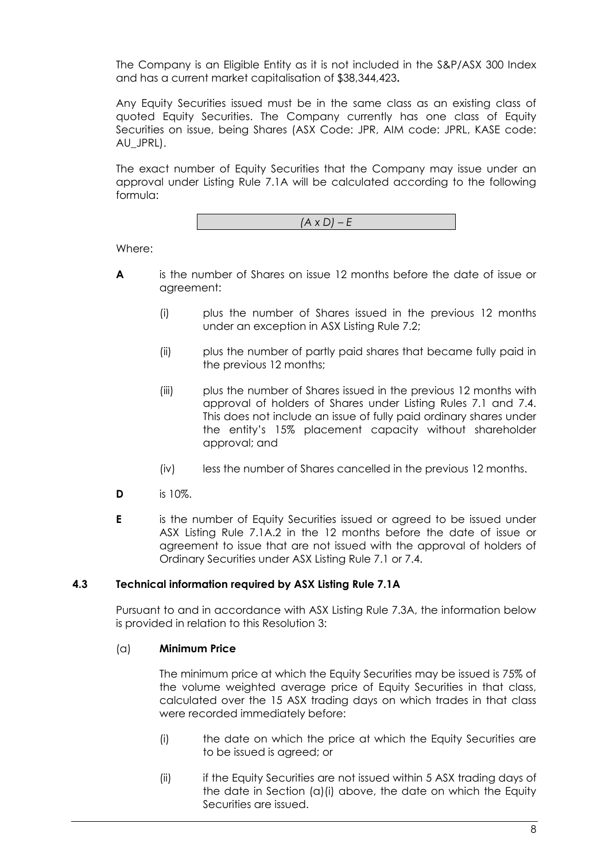The Company is an Eligible Entity as it is not included in the S&P/ASX 300 Index and has a current market capitalisation of \$38,344,423**.**

Any Equity Securities issued must be in the same class as an existing class of quoted Equity Securities. The Company currently has one class of Equity Securities on issue, being Shares (ASX Code: JPR, AIM code: JPRL, KASE code: AU\_JPRL).

The exact number of Equity Securities that the Company may issue under an approval under Listing Rule 7.1A will be calculated according to the following formula:

*(A x D) – E* 

Where:

- **A** is the number of Shares on issue 12 months before the date of issue or agreement:
	- (i) plus the number of Shares issued in the previous 12 months under an exception in ASX Listing Rule 7.2;
	- (ii) plus the number of partly paid shares that became fully paid in the previous 12 months;
	- (iii) plus the number of Shares issued in the previous 12 months with approval of holders of Shares under Listing Rules 7.1 and 7.4. This does not include an issue of fully paid ordinary shares under the entity's 15% placement capacity without shareholder approval; and
	- (iv) less the number of Shares cancelled in the previous 12 months.
- **D** is 10%.
- **E** is the number of Equity Securities issued or agreed to be issued under ASX Listing Rule 7.1A.2 in the 12 months before the date of issue or agreement to issue that are not issued with the approval of holders of Ordinary Securities under ASX Listing Rule 7.1 or 7.4.

## **4.3 Technical information required by ASX Listing Rule 7.1A**

Pursuant to and in accordance with ASX Listing Rule 7.3A, the information below is provided in relation to this Resolution 3:

## (a) **Minimum Price**

The minimum price at which the Equity Securities may be issued is 75% of the volume weighted average price of Equity Securities in that class, calculated over the 15 ASX trading days on which trades in that class were recorded immediately before:

- (i) the date on which the price at which the Equity Securities are to be issued is agreed; or
- (ii) if the Equity Securities are not issued within 5 ASX trading days of the date in Section (a)(i) above, the date on which the Equity Securities are issued.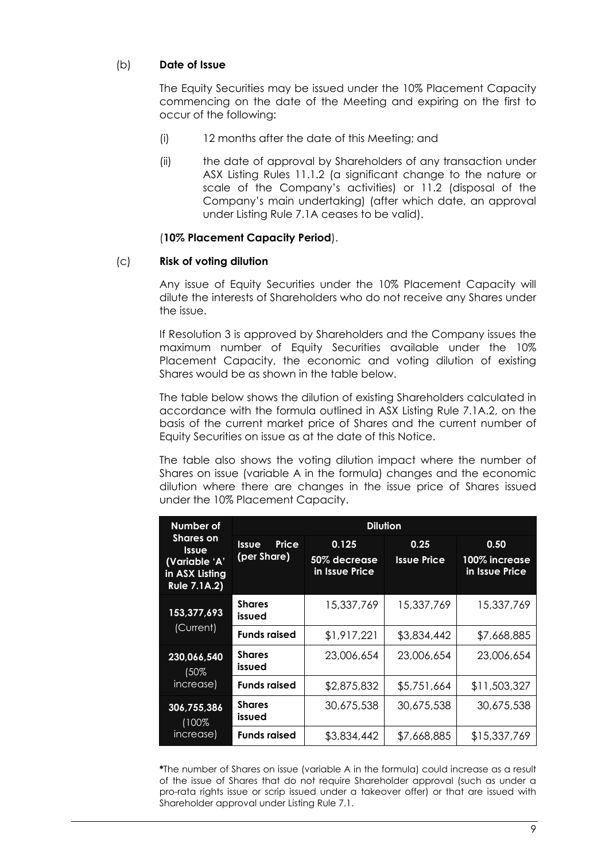## (b) **Date of Issue**

The Equity Securities may be issued under the 10% Placement Capacity commencing on the date of the Meeting and expiring on the first to occur of the following:

- (i) 12 months after the date of this Meeting; and
- (ii) the date of approval by Shareholders of any transaction under ASX Listing Rules 11.1.2 (a significant change to the nature or scale of the Company's activities) or 11.2 (disposal of the Company's main undertaking) (after which date, an approval under Listing Rule 7.1A ceases to be valid).

#### (**10% Placement Capacity Period**).

#### (c) **Risk of voting dilution**

Any issue of Equity Securities under the 10% Placement Capacity will dilute the interests of Shareholders who do not receive any Shares under the issue.

If Resolution 3 is approved by Shareholders and the Company issues the maximum number of Equity Securities available under the 10% Placement Capacity, the economic and voting dilution of existing Shares would be as shown in the table below.

The table below shows the dilution of existing Shareholders calculated in accordance with the formula outlined in ASX Listing Rule 7.1A.2, on the basis of the current market price of Shares and the current number of Equity Securities on issue as at the date of this Notice.

The table also shows the voting dilution impact where the number of Shares on issue (variable A in the formula) changes and the economic dilution where there are changes in the issue price of Shares issued under the 10% Placement Capacity.

| Number of                                                                                  | <b>Dilution</b>                      |                                         |                            |                                         |  |
|--------------------------------------------------------------------------------------------|--------------------------------------|-----------------------------------------|----------------------------|-----------------------------------------|--|
| <b>Shares on</b><br><b>Issue</b><br>(Variable 'A'<br>in ASX Listing<br><b>Rule 7.1A.2)</b> | Price<br><b>Issue</b><br>(per Share) | 0.125<br>50% decrease<br>in Issue Price | 0.25<br><b>Issue Price</b> | 0.50<br>100% increase<br>in Issue Price |  |
| 153,377,693                                                                                | <b>Shares</b><br>issued              | 15,337,769                              | 15,337,769                 | 15,337,769                              |  |
| (Current)                                                                                  | <b>Funds raised</b>                  | \$1,917,221                             | \$3,834,442                | \$7,668,885                             |  |
| 230,066,540<br>(50%                                                                        | <b>Shares</b><br>issued              | 23,006,654                              | 23,006,654                 | 23,006,654                              |  |
| increase)                                                                                  | <b>Funds raised</b>                  | \$2,875,832                             | \$5,751,664                | \$11,503,327                            |  |
| 306,755,386<br>(100%                                                                       | <b>Shares</b><br>issued              | 30,675,538                              | 30,675,538                 | 30,675,538                              |  |
| increase)                                                                                  | <b>Funds raised</b>                  | \$3,834,442                             | \$7,668,885                | \$15,337,769                            |  |

**\***The number of Shares on issue (variable A in the formula) could increase as a result of the issue of Shares that do not require Shareholder approval (such as under a pro-rata rights issue or scrip issued under a takeover offer) or that are issued with Shareholder approval under Listing Rule 7.1.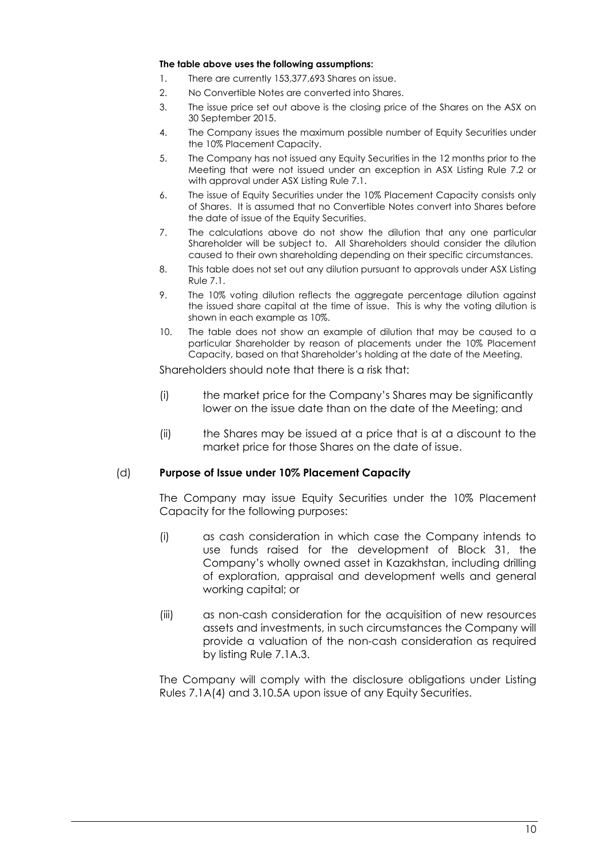#### **The table above uses the following assumptions:**

- 1. There are currently 153,377,693 Shares on issue.
- 2. No Convertible Notes are converted into Shares.
- 3. The issue price set out above is the closing price of the Shares on the ASX on 30 September 2015.
- 4. The Company issues the maximum possible number of Equity Securities under the 10% Placement Capacity.
- 5. The Company has not issued any Equity Securities in the 12 months prior to the Meeting that were not issued under an exception in ASX Listing Rule 7.2 or with approval under ASX Listing Rule 7.1.
- 6. The issue of Equity Securities under the 10% Placement Capacity consists only of Shares. It is assumed that no Convertible Notes convert into Shares before the date of issue of the Equity Securities.
- 7. The calculations above do not show the dilution that any one particular Shareholder will be subject to. All Shareholders should consider the dilution caused to their own shareholding depending on their specific circumstances.
- 8. This table does not set out any dilution pursuant to approvals under ASX Listing Rule 7.1.
- 9. The 10% voting dilution reflects the aggregate percentage dilution against the issued share capital at the time of issue. This is why the voting dilution is shown in each example as 10%.
- 10. The table does not show an example of dilution that may be caused to a particular Shareholder by reason of placements under the 10% Placement Capacity, based on that Shareholder's holding at the date of the Meeting.

Shareholders should note that there is a risk that:

- (i) the market price for the Company's Shares may be significantly lower on the issue date than on the date of the Meeting; and
- (ii) the Shares may be issued at a price that is at a discount to the market price for those Shares on the date of issue.

#### (d) **Purpose of Issue under 10% Placement Capacity**

The Company may issue Equity Securities under the 10% Placement Capacity for the following purposes:

- (i) as cash consideration in which case the Company intends to use funds raised for the development of Block 31, the Company's wholly owned asset in Kazakhstan, including drilling of exploration, appraisal and development wells and general working capital; or
- (iii) as non-cash consideration for the acquisition of new resources assets and investments, in such circumstances the Company will provide a valuation of the non-cash consideration as required by listing Rule 7.1A.3.

The Company will comply with the disclosure obligations under Listing Rules 7.1A(4) and 3.10.5A upon issue of any Equity Securities.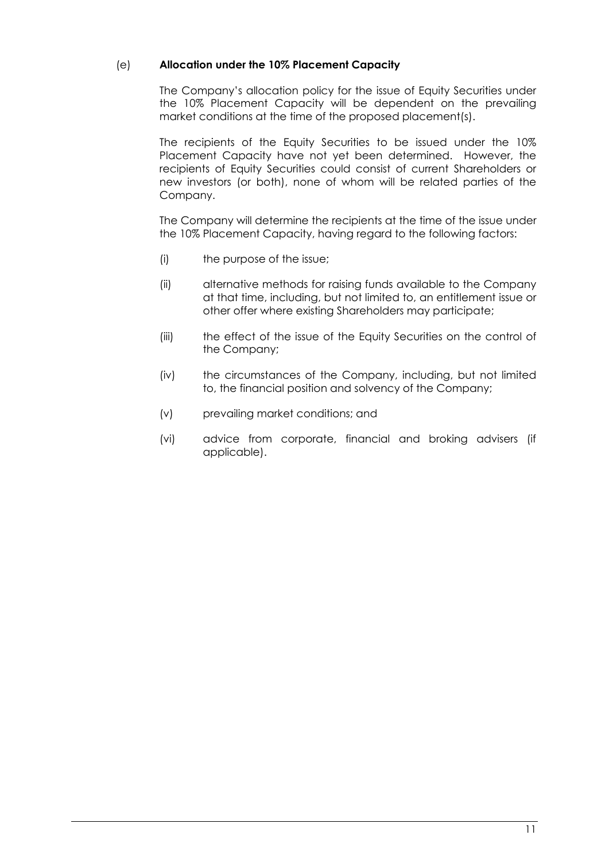## (e) **Allocation under the 10% Placement Capacity**

The Company's allocation policy for the issue of Equity Securities under the 10% Placement Capacity will be dependent on the prevailing market conditions at the time of the proposed placement(s).

The recipients of the Equity Securities to be issued under the 10% Placement Capacity have not yet been determined. However, the recipients of Equity Securities could consist of current Shareholders or new investors (or both), none of whom will be related parties of the Company.

The Company will determine the recipients at the time of the issue under the 10% Placement Capacity, having regard to the following factors:

- (i) the purpose of the issue;
- (ii) alternative methods for raising funds available to the Company at that time, including, but not limited to, an entitlement issue or other offer where existing Shareholders may participate;
- (iii) the effect of the issue of the Equity Securities on the control of the Company;
- (iv) the circumstances of the Company, including, but not limited to, the financial position and solvency of the Company;
- (v) prevailing market conditions; and
- (vi) advice from corporate, financial and broking advisers (if applicable).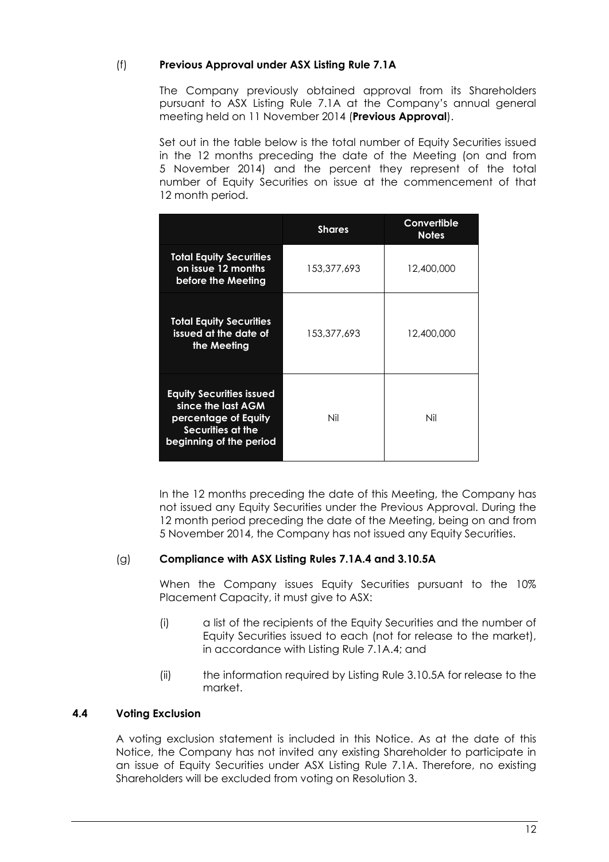## (f) **Previous Approval under ASX Listing Rule 7.1A**

The Company previously obtained approval from its Shareholders pursuant to ASX Listing Rule 7.1A at the Company's annual general meeting held on 11 November 2014 (**Previous Approval**).

Set out in the table below is the total number of Equity Securities issued in the 12 months preceding the date of the Meeting (on and from 5 November 2014) and the percent they represent of the total number of Equity Securities on issue at the commencement of that 12 month period.

|                                                                                                                               | <b>Shares</b> | Convertible<br><b>Notes</b> |
|-------------------------------------------------------------------------------------------------------------------------------|---------------|-----------------------------|
| <b>Total Equity Securities</b><br>on issue 12 months<br>before the Meeting                                                    | 153,377,693   | 12,400,000                  |
| <b>Total Equity Securities</b><br>issued at the date of<br>the Meeting                                                        | 153,377,693   | 12,400,000                  |
| <b>Equity Securities issued</b><br>since the last AGM<br>percentage of Equity<br>Securities at the<br>beginning of the period | Nil           | Nil                         |

In the 12 months preceding the date of this Meeting, the Company has not issued any Equity Securities under the Previous Approval. During the 12 month period preceding the date of the Meeting, being on and from 5 November 2014, the Company has not issued any Equity Securities.

## (g) **Compliance with ASX Listing Rules 7.1A.4 and 3.10.5A**

When the Company issues Equity Securities pursuant to the 10% Placement Capacity, it must give to ASX:

- (i) a list of the recipients of the Equity Securities and the number of Equity Securities issued to each (not for release to the market), in accordance with Listing Rule 7.1A.4; and
- (ii) the information required by Listing Rule 3.10.5A for release to the market.

## **4.4 Voting Exclusion**

A voting exclusion statement is included in this Notice. As at the date of this Notice, the Company has not invited any existing Shareholder to participate in an issue of Equity Securities under ASX Listing Rule 7.1A. Therefore, no existing Shareholders will be excluded from voting on Resolution 3.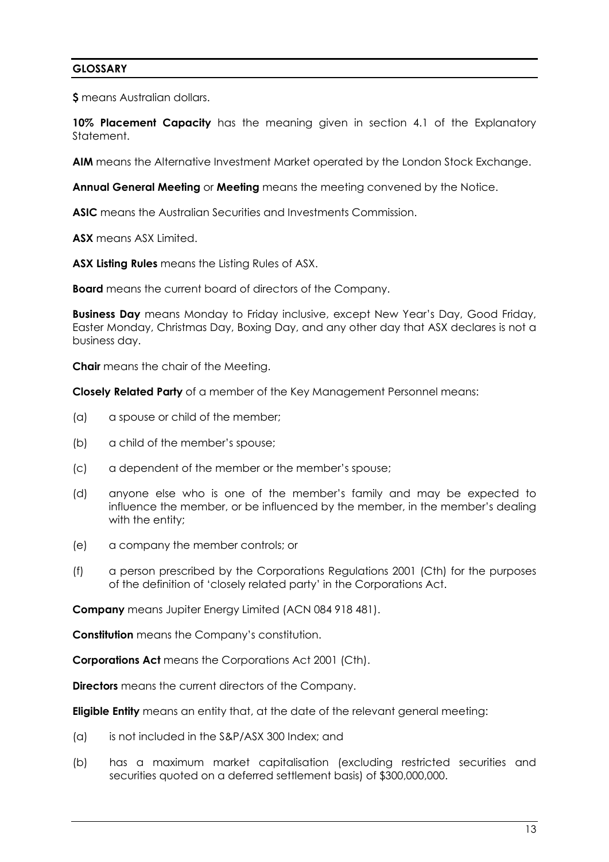## **GLOSSARY**

**\$** means Australian dollars.

**10% Placement Capacity** has the meaning given in section 4.1 of the Explanatory Statement.

**AIM** means the Alternative Investment Market operated by the London Stock Exchange.

**Annual General Meeting** or **Meeting** means the meeting convened by the Notice.

**ASIC** means the Australian Securities and Investments Commission.

**ASX** means ASX Limited.

**ASX Listing Rules** means the Listing Rules of ASX.

**Board** means the current board of directors of the Company.

**Business Day** means Monday to Friday inclusive, except New Year's Day, Good Friday, Easter Monday, Christmas Day, Boxing Day, and any other day that ASX declares is not a business day.

**Chair** means the chair of the Meeting.

**Closely Related Party** of a member of the Key Management Personnel means:

- (a) a spouse or child of the member;
- (b) a child of the member's spouse;
- (c) a dependent of the member or the member's spouse;
- (d) anyone else who is one of the member's family and may be expected to influence the member, or be influenced by the member, in the member's dealing with the entity;
- (e) a company the member controls; or
- (f) a person prescribed by the Corporations Regulations 2001 (Cth) for the purposes of the definition of 'closely related party' in the Corporations Act.

**Company** means Jupiter Energy Limited (ACN 084 918 481).

**Constitution** means the Company's constitution.

**Corporations Act** means the Corporations Act 2001 (Cth).

**Directors** means the current directors of the Company.

**Eligible Entity** means an entity that, at the date of the relevant general meeting:

- (a) is not included in the S&P/ASX 300 Index; and
- (b) has a maximum market capitalisation (excluding restricted securities and securities quoted on a deferred settlement basis) of \$300,000,000.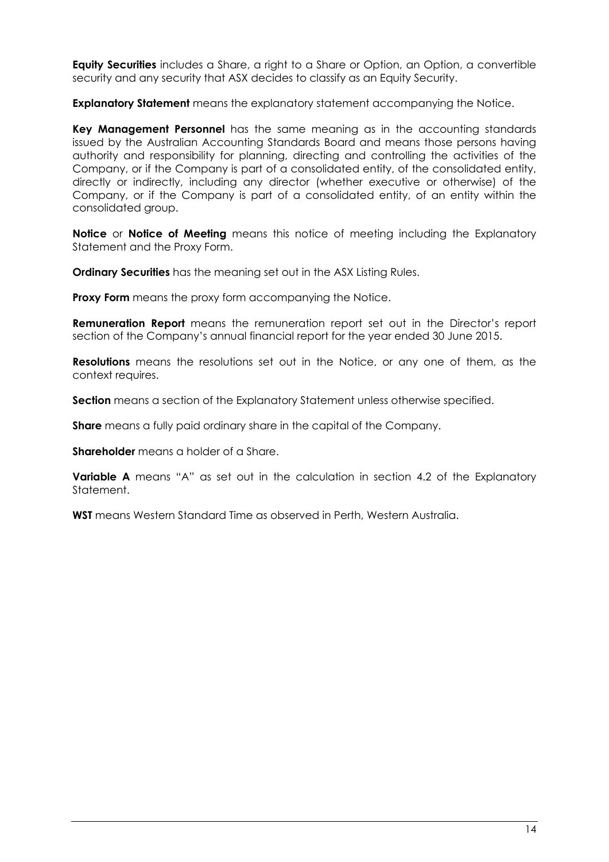**Equity Securities** includes a Share, a right to a Share or Option, an Option, a convertible security and any security that ASX decides to classify as an Equity Security.

**Explanatory Statement** means the explanatory statement accompanying the Notice.

**Key Management Personnel** has the same meaning as in the accounting standards issued by the Australian Accounting Standards Board and means those persons having authority and responsibility for planning, directing and controlling the activities of the Company, or if the Company is part of a consolidated entity, of the consolidated entity, directly or indirectly, including any director (whether executive or otherwise) of the Company, or if the Company is part of a consolidated entity, of an entity within the consolidated group.

**Notice** or **Notice of Meeting** means this notice of meeting including the Explanatory Statement and the Proxy Form.

**Ordinary Securities** has the meaning set out in the ASX Listing Rules.

**Proxy Form** means the proxy form accompanying the Notice.

**Remuneration Report** means the remuneration report set out in the Director's report section of the Company's annual financial report for the year ended 30 June 2015.

**Resolutions** means the resolutions set out in the Notice, or any one of them, as the context requires.

**Section** means a section of the Explanatory Statement unless otherwise specified.

**Share** means a fully paid ordinary share in the capital of the Company.

**Shareholder** means a holder of a Share.

**Variable A** means "A" as set out in the calculation in section 4.2 of the Explanatory Statement.

**WST** means Western Standard Time as observed in Perth, Western Australia.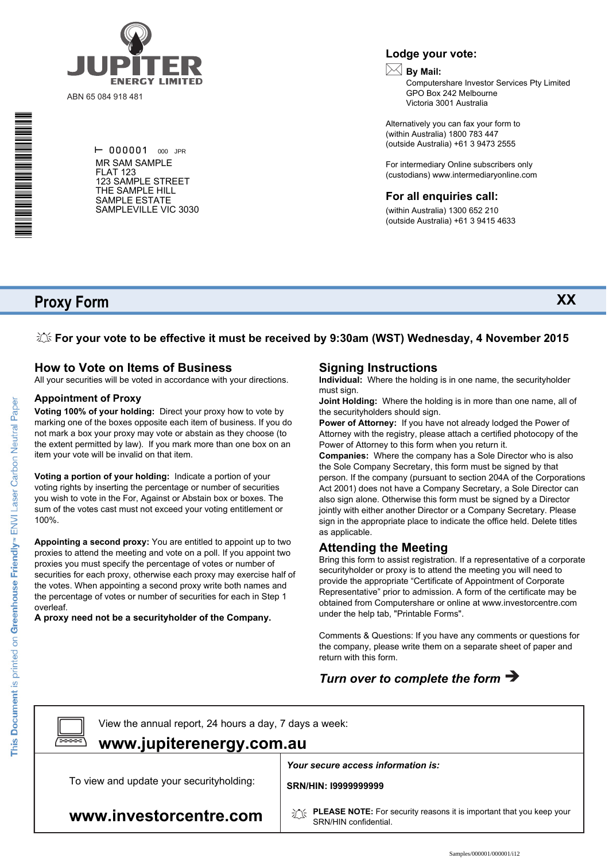

ABN 65 084 918 481

 $\vdash$  000001 000 JPR MR SAM SAMPLE FLAT 123 123 SAMPLE STREET THE SAMPLE HILL SAMPLE ESTATE SAMPLEVILLE VIC 3030

#### **Lodge your vote:**

## **By Mail:**

Computershare Investor Services Pty Limited GPO Box 242 Melbourne Victoria 3001 Australia

**XX**

Alternatively you can fax your form to (within Australia) 1800 783 447 (outside Australia) +61 3 9473 2555

For intermediary Online subscribers only (custodians) www.intermediaryonline.com

#### **For all enquiries call:**

(within Australia) 1300 652 210 (outside Australia) +61 3 9415 4633

## **Proxy Form**

\* S0000112<br>S0000112<br>S0000112

**For your vote to be effective it must be received by 9:30am (WST) Wednesday, 4 November 2015**

## **How to Vote on Items of Business**

All your securities will be voted in accordance with your directions.

#### **Appointment of Proxy**

**Voting 100% of your holding:** Direct your proxy how to vote by marking one of the boxes opposite each item of business. If you do not mark a box your proxy may vote or abstain as they choose (to the extent permitted by law). If you mark more than one box on an item your vote will be invalid on that item.

**Voting a portion of your holding:** Indicate a portion of your voting rights by inserting the percentage or number of securities you wish to vote in the For, Against or Abstain box or boxes. The sum of the votes cast must not exceed your voting entitlement or 100%.

**Appointing a second proxy:** You are entitled to appoint up to two proxies to attend the meeting and vote on a poll. If you appoint two proxies you must specify the percentage of votes or number of securities for each proxy, otherwise each proxy may exercise half of the votes. When appointing a second proxy write both names and the percentage of votes or number of securities for each in Step 1 overleaf.

**A proxy need not be a securityholder of the Company.**

#### **Signing Instructions**

**Individual:** Where the holding is in one name, the securityholder must sign.

**Joint Holding:** Where the holding is in more than one name, all of the securityholders should sign.

**Power of Attorney:** If you have not already lodged the Power of Attorney with the registry, please attach a certified photocopy of the Power of Attorney to this form when you return it.

**Companies:** Where the company has a Sole Director who is also the Sole Company Secretary, this form must be signed by that person. If the company (pursuant to section 204A of the Corporations Act 2001) does not have a Company Secretary, a Sole Director can also sign alone. Otherwise this form must be signed by a Director jointly with either another Director or a Company Secretary. Please sign in the appropriate place to indicate the office held. Delete titles as applicable.

## **Attending the Meeting**

Bring this form to assist registration. If a representative of a corporate securityholder or proxy is to attend the meeting you will need to provide the appropriate "Certificate of Appointment of Corporate Representative" prior to admission. A form of the certificate may be obtained from Computershare or online at www.investorcentre.com under the help tab, "Printable Forms".

Comments & Questions: If you have any comments or questions for the company, please write them on a separate sheet of paper and return with this form.

## *Turn over to complete the form*

View the annual report, 24 hours a day, 7 days a week:

## **www.jupiterenergy.com.au**

To view and update your securityholding:

*Your secure access information is:*

**SRN/HIN: I9999999999**

**www.investorcentre.com**

**PLEASE NOTE:** For security reasons it is important that you keep your SRN/HIN confidential.